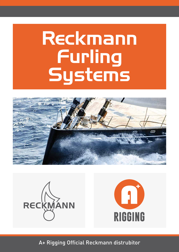# Reckmann Furling Systems





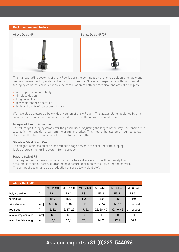#### **Reckmann manual furlers**

Above Deck MF Below Deck MF/DF





The manual furling systems of the MF series are the continuation of a long tradition of reliable and well-engineered furling systems. Building on more than 30 years of experience with our manual furling systems, this product shows the continuation of both our technical and optical principles:

- uncompromising reliability
- timeless design
- long durability
- low-maintenance operation
- high availability of replacement parts

We have also developed a below-deck version of the MF plant. This allows plants designed by other manufacturers to be conveniently installed in the installation room at a later date.

#### Integrated Length Adjustment

The MF range furling systems offer the possibility of adjusting the length of the stay. The tensioner is located in the transition area from the drum for profiles. This means that systems mounted below deck can allow for a simple installation of forestay lengths.

#### Stainless Steel Drum Guard

The elegant stainless steel drum protection cage prevents the reef line from slipping. It also protects the furling system from damage.

#### Halyard Swivel FS

The torque-free Reckmann high-performance halyard swivels turn with extremely low amounts of friction, thereby guaranteeing a secure operation without twisting the halyard. The compact design and size graduation ensure a low weight aloft.

| <b>Above Deck MF</b> |                                                                                                                                                                                                                                                                                                                                                                                                                                                                                                                                                                                                                                                                                                                                                                                  |                 |                 |                 |            |            |            |
|----------------------|----------------------------------------------------------------------------------------------------------------------------------------------------------------------------------------------------------------------------------------------------------------------------------------------------------------------------------------------------------------------------------------------------------------------------------------------------------------------------------------------------------------------------------------------------------------------------------------------------------------------------------------------------------------------------------------------------------------------------------------------------------------------------------|-----------------|-----------------|-----------------|------------|------------|------------|
|                      |                                                                                                                                                                                                                                                                                                                                                                                                                                                                                                                                                                                                                                                                                                                                                                                  | MF-1/R10        | MF-1/R20        | MF-2/R20        | MF-2/R30   | MF-3/R40   | MF-3/R50   |
| halyard swivel       | $[\cdot]$                                                                                                                                                                                                                                                                                                                                                                                                                                                                                                                                                                                                                                                                                                                                                                        | $FS-1$          | $FS-2$          | $FS-2$          | $FS-3$     | $FS-4$     | FS-5L      |
| furling foil         | $[\cdot] % \centering \includegraphics[width=0.9\textwidth]{images/TrDiS/N-Architecture.png} % \caption{The first two different values of $N$ in the \mbox{thick model} and the second two different values of $N$ in the \mbox{thick model} and the second two different values of $N$ in the \mbox{thick model} and the second two different values of $N$ in the \mbox{thick model} and the second two different values of $N$ in the \mbox{thick model} and the second two different values of $N$ in the \mbox{thick model} and the third two different values of $N$ in the \mbox{thick model} and the third two different values of $N$ in the \mbox{thick model} and the third two different values of $N$ in the \mbox{thick model} and the third two different values$ | R <sub>10</sub> | R <sub>20</sub> | R <sub>20</sub> | <b>R30</b> | R40        | <b>R50</b> |
| wire diameter        | [mm]                                                                                                                                                                                                                                                                                                                                                                                                                                                                                                                                                                                                                                                                                                                                                                             | 6, 7, 8         | 8, 10           | 10              | 12.14      | 14, 16     | on request |
| rod sizes            | $[\cdot]$                                                                                                                                                                                                                                                                                                                                                                                                                                                                                                                                                                                                                                                                                                                                                                        | 8, 12           | 12, 17, 22      | 17, 22          | 22, 30, 40 | 30, 40, 48 | on request |
| stroke stay adjuster | [mm]                                                                                                                                                                                                                                                                                                                                                                                                                                                                                                                                                                                                                                                                                                                                                                             | 60              | 60              | 60              | 60         | 80         | 80         |
| max. headstay length | $\lceil m \rceil$                                                                                                                                                                                                                                                                                                                                                                                                                                                                                                                                                                                                                                                                                                                                                                | 15,6            | 20,1            | 20,1            | 24,75      | 27,9       | 36,9       |

# Ask our experts +31 (0)227-544096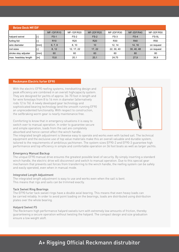| <b>Below Deck MF/DF</b> |      |                 |                 |                 |            |            |            |  |
|-------------------------|------|-----------------|-----------------|-----------------|------------|------------|------------|--|
|                         |      | $MF-1DF/R10$    | MF-1DF/R20      | $MF-2DF/R20$    | MF-2DF/R30 | MF-3DF/R40 | MF-3DF/R50 |  |
| halyard swivel          |      | $FS-1$          | $FS-2$          | $FS-2$          | $FS-3$     | $FS-4$     | FS-5L      |  |
| furling foil            |      | R <sub>10</sub> | R <sub>20</sub> | R <sub>20</sub> | <b>R30</b> | <b>R40</b> | <b>R50</b> |  |
| l wire diameter         | [mm] | 6, 7, 8         | 8, 10           | 10              | 12.14      | 14, 16     | on request |  |
| rod sizes               |      | 8, 12           | 12, 17, 22      | 17, 22          | 22, 30, 40 | 30, 40, 48 | on request |  |
| stroke stay adjuster    | [mm] | 60              | 60              | 60              | 60         | 80         | 80         |  |
| max. headstay length    | [m]  | 15,6            | 20,1            | 20,1            | 24,75      | 27,9       | 36,9       |  |

#### **Reckmann Electric furler EF90**

With the electric EF90 reefing systems, trendsetting design and peak efficiency are combined in an overall highcapacity system. They are designed for yachts of approx. 36-70 foot in length and for wire forestays from 8 to 16 mm in diameter (alternatively rods 12 to 76). A newly developed gear technology and sophisticated bearing technology lend the smooth running EF90 an unprecedented functionality. With respect to construction, the selfbraking worm gear is nearly maintenance free.

Comforting to know that in emergency situations it is easy to switch over to manual operation. In order to guarantee secure and simple operation, loads from the sail are completely absorbed and hence cannot affect the winch handle.



The integrated length adjustment is likewise easy to operate and works even with tacked sail. The technical equipment and the exclusive use of top value materials make this an overall valuable and durable system, tailored to the requirements of ambitious yachtsmen. The system sizes EF90-2 and EF90-3 guarantee high performance and top efficiency in simple and comfortable operation on 36 foot boats as well as larger yachts.

#### Emergency Manual Backup

The unique EF90 manual drive ensures the greatest possible level of security. By simply inserting a standard winch handle, the electric drive will disconnect and switch to manual operation. Due to this special gear mechanism that prevents sail forces from transferring to the winch handle, the reefing system can be safely and easily operated, even when in manual mode.

#### Integrated Length Adjustment

The integrated length adjustment is easy to use and works even when the sail is bent. This means that rigs and sails can be trimmed exactly.

#### Tack Swivel Ring Bearings

The EF90 furler tack swivel rings have a double axial bearing. This means that even heavy loads can be carried reliably. In order to avoid point loading on the bearings, loads are distributed using distribution plates over the whole bearing.

#### Halyard Swivel FS

The Reckmann high performance halyard swivels turn with extremely low amounts of friction, thereby guaranteeing a secure operation without twisting the halyard. The compact design and size graduation ensure a low weight aloft.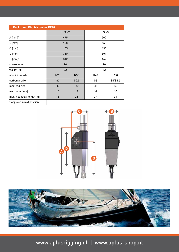| <b>Reckmann Electric furler EF90</b> |                |                  |                |            |  |  |  |  |
|--------------------------------------|----------------|------------------|----------------|------------|--|--|--|--|
|                                      | EF90-2         |                  | EF90-3         |            |  |  |  |  |
| $A$ [mm]*                            | 475            |                  | 602            |            |  |  |  |  |
| $B$ [mm]                             | 128            |                  | 153            |            |  |  |  |  |
| $C$ [mm]                             | 155            |                  | 195            |            |  |  |  |  |
| $D$ [mm]                             | 310            |                  | 391            |            |  |  |  |  |
| $G$ [mm]*                            | 342            |                  | 452            |            |  |  |  |  |
| stroke [mm]                          | 70             |                  | 70             |            |  |  |  |  |
| weight [kg]                          | 22             |                  | 32             |            |  |  |  |  |
| aluminium foils                      | <b>R20</b>     | <b>R30</b>       | R40            | <b>R50</b> |  |  |  |  |
| carbon profile                       | S <sub>2</sub> | S <sub>2.5</sub> | S <sub>3</sub> | S4/S4.5    |  |  |  |  |
| max. rod size                        | $-17$          | $-30$            | -48            | -60        |  |  |  |  |
| max. wire [mm]                       | 10             | 12               | 14             | 16         |  |  |  |  |
| max. headstay length [m]             | 18             | 23               | 27             | 31         |  |  |  |  |
|                                      |                |                  |                |            |  |  |  |  |

\* adjuster in mid position





www.aplusrigging.nl | www.aplus-shop.nl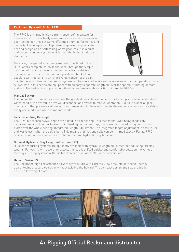## **Reckmann Hydraulic furler RF90**

The RF90 is a hydraulic high performance reefing system for foresails built to be virtually maintenance free and with superior gear technology these systems offer maximum performance and longevity. The integration of spiralmesh gearing, sophisticated bearing design and a selfbraking worm gear, result in a quiet and smooth running system, which meet the highest industry standards.

Moreover, the special emergency manual drive fitted to the RF 90 offers complete safety to the user. Through the simple insertion of a standard winch handle the hydraulic drive is uncoupled and switched to manual operation. Thanks to a special gear mechanism, which prevents transfer of the sail



load to the winch handle, the reefing system can be operated easily and safely even in manual operation mode. All systems in this series are equipped with an easy to operate length adjuster for optimal trimming of mast and sail. The hydraulic supported length adjusters are available starting with model RF90-4.

#### Manual Backup

The unique RF90 manual drive ensures the greatest possible level of security. By simply inserting a standard winch handle, the hydraulic drive will disconnect and switch to manual operation. Due to this special gear mechanism that prevents sail forces from transferring to the winch handle, the reefing system can be safely and easily operated, even when in manual mode.

#### Tack Swivel Ring Bearings

The RF90 furler tack swivel rings have a double axial bearing. This means that even heavy loads can be carried reliably. In order to avoid point loading on the bearings, loads are distributed using distribution plates over the whole bearing. Integrated Length Adjustment. The integrated length adjustment is easy to use and works even when the sail is bent. This means that rigs and sails can be trimmed exactly. For all RF90 series furling systems, we offer an optional realtime hydraulic stay tensioner.

#### Optional Hydraulic Stay Length Adjustment (RT)

RF90 series furling systems are optionally available with hydraulic length adjustment for adjusting forestay lengths. For yachts with several forestays, the load is shifted quickly and comfortably between the various forestays. Furling systems with this function bear the label "RT" in the description.

#### Halyard Swivel FS

The Reckmann high performance halyard swivels turn with extremely low amounts of friction, thereby guaranteeing a secure operation without twisting the halyard. The compact design and size graduation ensure a low weight aloft.

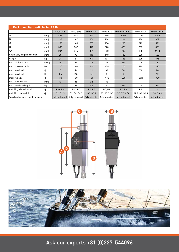| <b>Reckmann Hydraulic furler RF90</b> |           |                                   |                 |                 |                 |                 |                 |                 |
|---------------------------------------|-----------|-----------------------------------|-----------------|-----------------|-----------------|-----------------|-----------------|-----------------|
|                                       |           | <b>RF90-2DS</b>                   | <b>RF90-3DS</b> | <b>RF90-4DS</b> | <b>RF90-5DS</b> | RF90-5.5DS220   | RF90-6.5DS      | RF90-7.5DS      |
| $A^*$                                 | [mm]      | 428                               | 481             | 690             | 895             | 1000            | 1255            | 1750            |
| B                                     | [mm]      | 128                               | 147             | 166             | 204             | 204             | 284             | 372             |
| $\mathsf C$                           | [mm]      | 156                               | 180             | 235             | 256             | 280             | 373             | 521             |
| D                                     | [mm]      | 305                               | 352             | 446             | 570             | 578             | 767             | 893             |
| $G^*$                                 | [mm]      | 294                               | 345             | 481             | 630             | 707             | 898             | 1113            |
| stroke stay length adjustment         | [mm]      | 70                                | 70              | 110             | 118             | 130             | 250             | 500             |
| weight                                | [kg]      | 21                                | 31              | 66              | 104             | 133             | 295             | 576             |
| max. oil flow motor                   | [1/min]   | 10                                | 17              | 35              | 45              | 60              | 75              | 110             |
| max. pressure motor                   | [bar]     | 100                               | 100             | 140             | 175             | 175             | 175             | 225             |
| max. stay load                        | [t]       | $\overline{7}$                    | 14              | 21              | 39              | 50              | 73              | 98              |
| max. tack load                        |           | 1,5                               | 2,5             | 3,5             | 5               | 6               | 8               | 10              |
| max, rod size                         | $[\cdot]$ | $-30$                             | -60             | $-91$           | $-170$          | $-220$          | $-320$          | $-430$          |
| max. diameter wire                    | [mm]      | 12                                | 16              | 22              | 32              | ٠               | $\sim$          |                 |
| max. headstay length                  | [m]       | 23                                | 36              | 42              | 50              | 60              | 70              | 85              |
| matching aluminium foils              | $[\cdot]$ | R <sub>20</sub> , R <sub>30</sub> | R40, R5         | <b>R5, R6</b>   | R6, R7          | R7, R8          | R <sub>8</sub>  |                 |
| matching carbon foils                 | $[\cdot]$ | S2, S2.5                          | S3, S4, S4.5    | S5, S5.5        | S6, S6.5, S7    | S7, S7.5, S8    | S7.7, S8, S8.5  | S9, S9.5        |
| *position headstay length adjuster    |           | fully retracted                   | fully retracted | fully retracted | fully retracted | fully retracted | fully retracted | fully retracted |





Ask our experts +31 (0)227-544096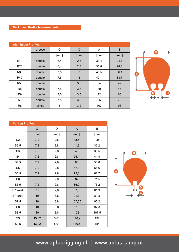## **Reckmann Profile Measurements**

| <b>Aluminium Profiles</b> |        |      |      |      |      |  |  |  |
|---------------------------|--------|------|------|------|------|--|--|--|
|                           | groove | G    | O    | A    | B    |  |  |  |
|                           |        | [mm] | [mm] | [mm] | [mm] |  |  |  |
| R <sub>10</sub>           | double | 6,4  | 2,3  | 31,4 | 24,1 |  |  |  |
| R <sub>20</sub>           | double | 6,4  | 2,3  | 35,8 | 28,8 |  |  |  |
| R30                       | double | 7,5  | 3    | 45,5 | 36,1 |  |  |  |
| R40                       | double | 7,5  | 3    | 49,1 | 38,7 |  |  |  |
| <b>R50</b>                | double | 8    | 3,5  | 54   | 42   |  |  |  |
| R <sub>5</sub>            | double | 7,5  | 3,5  | 60   | 47   |  |  |  |
| R <sub>6</sub>            | double | 7,5  | 3,5  | 72   | 60   |  |  |  |
| R <sub>7</sub>            | double | 7,5  | 3,3  | 85   | 72   |  |  |  |
| R <sub>8</sub>            | single | 8    | 3,2  | 107  | 93   |  |  |  |



| <b>Carbon Profiles</b> |       |      |        |       |  |  |  |
|------------------------|-------|------|--------|-------|--|--|--|
|                        | G     | O    | A      | B     |  |  |  |
|                        | [mm]  | [mm] | [mm]   | [mm]  |  |  |  |
| S <sub>2</sub>         | 7,2   | 2,8  | 38,5   | 29    |  |  |  |
| S2.5                   | 7,2   | 2,8  | 41,3   | 32,2  |  |  |  |
| S <sub>3</sub>         | 7,2   | 2,8  | 49     | 38,5  |  |  |  |
| S <sub>4</sub>         | 7,2   | 2,8  | 55,4   | 44,4  |  |  |  |
| S4.5                   | 7,2   | 2,8  | 60     | 50,8  |  |  |  |
| S <sub>5</sub>         | 7,2   | 2,8  | 67,1   | 56,6  |  |  |  |
| S5.5                   | 7,2   | 2,8  | 72,8   | 62,7  |  |  |  |
| S <sub>6</sub>         | 7,2   | 2,8  | 82     | 71,5  |  |  |  |
| S6.5                   | 7,2   | 2,8  | 86,9   | 76,2  |  |  |  |
| S7 small               | 7,2   | 2,8  | 87,3   | 81,3  |  |  |  |
| S7 large               | 10    | 3,8  | 91,3   | 81,3  |  |  |  |
| S7.5                   | 10    | 3,8  | 107,25 | 90,2  |  |  |  |
| S <sub>8</sub>         | 10    | 3,8  | 112    | 97,3  |  |  |  |
| S8.5                   | 10    | 3,8  | 122    | 107,5 |  |  |  |
| S9                     | 13,02 | 5,01 | 148,2  | 132   |  |  |  |
| S9.5                   | 13,02 | 5,01 | 170,6  | 154   |  |  |  |